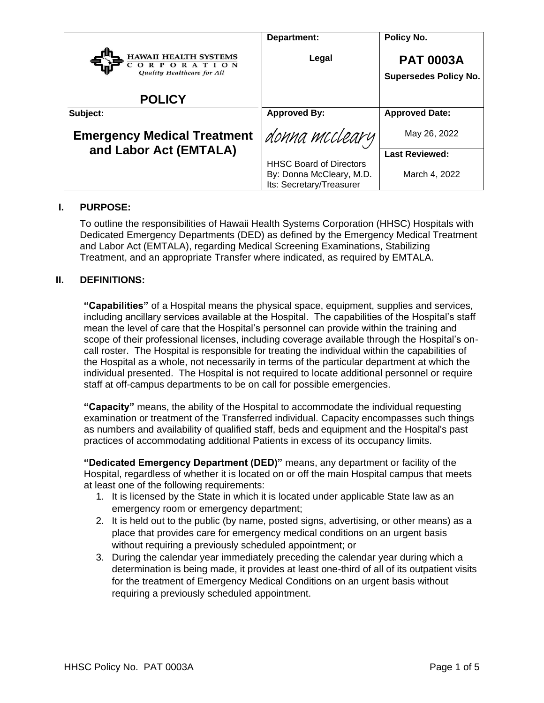|                                            | Department:                                                                            | Policy No.                   |
|--------------------------------------------|----------------------------------------------------------------------------------------|------------------------------|
| <b>HAWAII HEALTH SYSTEMS</b><br>ORPORATION | Legal                                                                                  | <b>PAT 0003A</b>             |
| Quality Healthcare for All                 |                                                                                        | <b>Supersedes Policy No.</b> |
| <b>POLICY</b>                              |                                                                                        |                              |
| Subject:                                   | <b>Approved By:</b>                                                                    | <b>Approved Date:</b>        |
| <b>Emergency Medical Treatment</b>         | donna mccleary                                                                         | May 26, 2022                 |
| and Labor Act (EMTALA)                     |                                                                                        | <b>Last Reviewed:</b>        |
|                                            | <b>HHSC Board of Directors</b><br>By: Donna McCleary, M.D.<br>Its: Secretary/Treasurer | March 4, 2022                |

### **I. PURPOSE:**

To outline the responsibilities of Hawaii Health Systems Corporation (HHSC) Hospitals with Dedicated Emergency Departments (DED) as defined by the Emergency Medical Treatment and Labor Act (EMTALA), regarding Medical Screening Examinations, Stabilizing Treatment, and an appropriate Transfer where indicated, as required by EMTALA.

#### **II. DEFINITIONS:**

**"Capabilities"** of a Hospital means the physical space, equipment, supplies and services, including ancillary services available at the Hospital. The capabilities of the Hospital's staff mean the level of care that the Hospital's personnel can provide within the training and scope of their professional licenses, including coverage available through the Hospital's oncall roster. The Hospital is responsible for treating the individual within the capabilities of the Hospital as a whole, not necessarily in terms of the particular department at which the individual presented. The Hospital is not required to locate additional personnel or require staff at off-campus departments to be on call for possible emergencies.

**"Capacity"** means, the ability of the Hospital to accommodate the individual requesting examination or treatment of the Transferred individual. Capacity encompasses such things as numbers and availability of qualified staff, beds and equipment and the Hospital's past practices of accommodating additional Patients in excess of its occupancy limits.

**"Dedicated Emergency Department (DED)"** means, any department or facility of the Hospital, regardless of whether it is located on or off the main Hospital campus that meets at least one of the following requirements:

- 1. It is licensed by the State in which it is located under applicable State law as an emergency room or emergency department;
- 2. It is held out to the public (by name, posted signs, advertising, or other means) as a place that provides care for emergency medical conditions on an urgent basis without requiring a previously scheduled appointment; or
- 3. During the calendar year immediately preceding the calendar year during which a determination is being made, it provides at least one-third of all of its outpatient visits for the treatment of Emergency Medical Conditions on an urgent basis without requiring a previously scheduled appointment.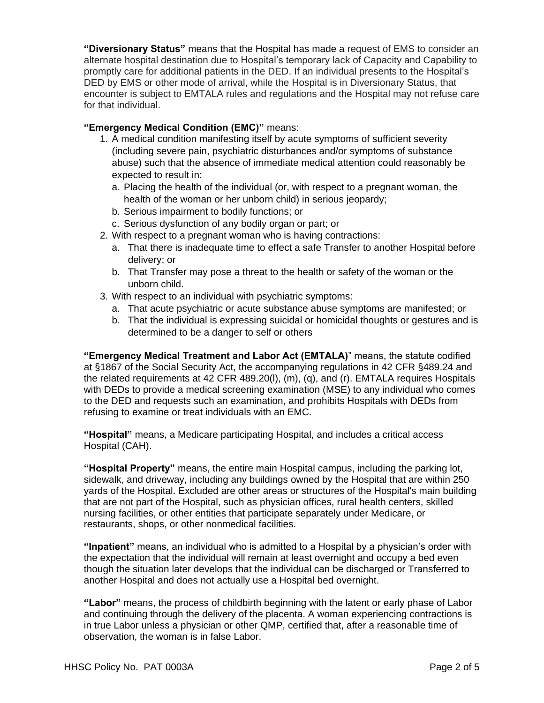**"Diversionary Status"** means that the Hospital has made a request of EMS to consider an alternate hospital destination due to Hospital's temporary lack of Capacity and Capability to promptly care for additional patients in the DED. If an individual presents to the Hospital's DED by EMS or other mode of arrival, while the Hospital is in Diversionary Status, that encounter is subject to EMTALA rules and regulations and the Hospital may not refuse care for that individual.

### **"Emergency Medical Condition (EMC)"** means:

- 1. A medical condition manifesting itself by acute symptoms of sufficient severity (including severe pain, psychiatric disturbances and/or symptoms of substance abuse) such that the absence of immediate medical attention could reasonably be expected to result in:
	- a. Placing the health of the individual (or, with respect to a pregnant woman, the health of the woman or her unborn child) in serious jeopardy;
	- b. Serious impairment to bodily functions; or
	- c. Serious dysfunction of any bodily organ or part; or
- 2. With respect to a pregnant woman who is having contractions:
	- a. That there is inadequate time to effect a safe Transfer to another Hospital before delivery; or
	- b. That Transfer may pose a threat to the health or safety of the woman or the unborn child.
- 3. With respect to an individual with psychiatric symptoms:
	- a. That acute psychiatric or acute substance abuse symptoms are manifested; or
	- b. That the individual is expressing suicidal or homicidal thoughts or gestures and is determined to be a danger to self or others

**"Emergency Medical Treatment and Labor Act (EMTALA)**" means, the statute codified at §1867 of the Social Security Act, the accompanying regulations in 42 CFR §489.24 and the related requirements at 42 CFR 489.20(l), (m), (q), and (r). EMTALA requires Hospitals with DEDs to provide a medical screening examination (MSE) to any individual who comes to the DED and requests such an examination, and prohibits Hospitals with DEDs from refusing to examine or treat individuals with an EMC.

**"Hospital"** means, a Medicare participating Hospital, and includes a critical access Hospital (CAH).

**"Hospital Property"** means, the entire main Hospital campus, including the parking lot, sidewalk, and driveway, including any buildings owned by the Hospital that are within 250 yards of the Hospital. Excluded are other areas or structures of the Hospital's main building that are not part of the Hospital, such as physician offices, rural health centers, skilled nursing facilities, or other entities that participate separately under Medicare, or restaurants, shops, or other nonmedical facilities.

**"Inpatient"** means, an individual who is admitted to a Hospital by a physician's order with the expectation that the individual will remain at least overnight and occupy a bed even though the situation later develops that the individual can be discharged or Transferred to another Hospital and does not actually use a Hospital bed overnight.

**"Labor"** means, the process of childbirth beginning with the latent or early phase of Labor and continuing through the delivery of the placenta. A woman experiencing contractions is in true Labor unless a physician or other QMP, certified that, after a reasonable time of observation, the woman is in false Labor.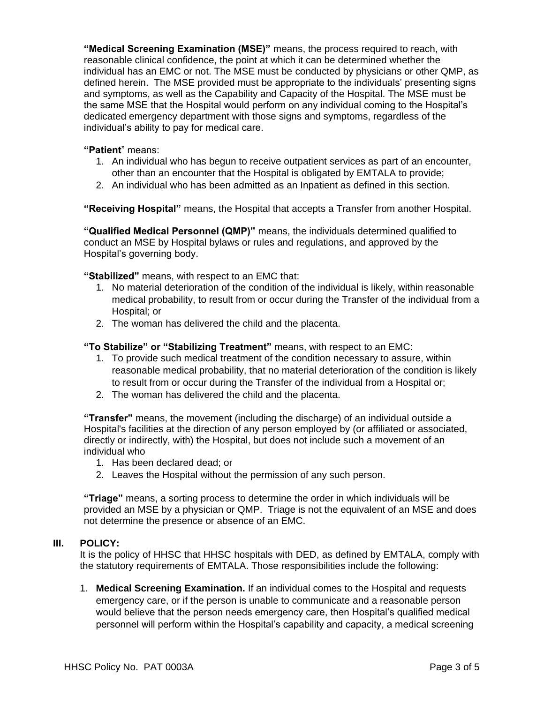**"Medical Screening Examination (MSE)"** means, the process required to reach, with reasonable clinical confidence, the point at which it can be determined whether the individual has an EMC or not. The MSE must be conducted by physicians or other QMP, as defined herein. The MSE provided must be appropriate to the individuals' presenting signs and symptoms, as well as the Capability and Capacity of the Hospital. The MSE must be the same MSE that the Hospital would perform on any individual coming to the Hospital's dedicated emergency department with those signs and symptoms, regardless of the individual's ability to pay for medical care.

### **"Patient**" means:

- 1. An individual who has begun to receive outpatient services as part of an encounter, other than an encounter that the Hospital is obligated by EMTALA to provide;
- 2. An individual who has been admitted as an Inpatient as defined in this section.

**"Receiving Hospital"** means, the Hospital that accepts a Transfer from another Hospital.

**"Qualified Medical Personnel (QMP)"** means, the individuals determined qualified to conduct an MSE by Hospital bylaws or rules and regulations, and approved by the Hospital's governing body.

**"Stabilized"** means, with respect to an EMC that:

- 1. No material deterioration of the condition of the individual is likely, within reasonable medical probability, to result from or occur during the Transfer of the individual from a Hospital; or
- 2. The woman has delivered the child and the placenta.

### **"To Stabilize" or "Stabilizing Treatment"** means, with respect to an EMC:

- 1. To provide such medical treatment of the condition necessary to assure, within reasonable medical probability, that no material deterioration of the condition is likely to result from or occur during the Transfer of the individual from a Hospital or;
- 2. The woman has delivered the child and the placenta.

**"Transfer"** means, the movement (including the discharge) of an individual outside a Hospital's facilities at the direction of any person employed by (or affiliated or associated, directly or indirectly, with) the Hospital, but does not include such a movement of an individual who

- 1. Has been declared dead; or
- 2. Leaves the Hospital without the permission of any such person.

**"Triage"** means, a sorting process to determine the order in which individuals will be provided an MSE by a physician or QMP. Triage is not the equivalent of an MSE and does not determine the presence or absence of an EMC.

#### **III. POLICY:**

It is the policy of HHSC that HHSC hospitals with DED, as defined by EMTALA, comply with the statutory requirements of EMTALA. Those responsibilities include the following:

1. **Medical Screening Examination.** If an individual comes to the Hospital and requests emergency care, or if the person is unable to communicate and a reasonable person would believe that the person needs emergency care, then Hospital's qualified medical personnel will perform within the Hospital's capability and capacity, a medical screening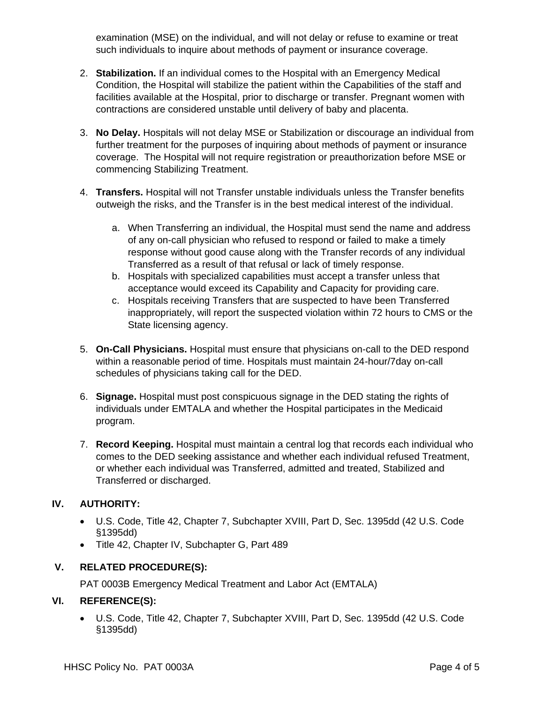examination (MSE) on the individual, and will not delay or refuse to examine or treat such individuals to inquire about methods of payment or insurance coverage.

- 2. **Stabilization.** If an individual comes to the Hospital with an Emergency Medical Condition, the Hospital will stabilize the patient within the Capabilities of the staff and facilities available at the Hospital, prior to discharge or transfer. Pregnant women with contractions are considered unstable until delivery of baby and placenta.
- 3. **No Delay.** Hospitals will not delay MSE or Stabilization or discourage an individual from further treatment for the purposes of inquiring about methods of payment or insurance coverage. The Hospital will not require registration or preauthorization before MSE or commencing Stabilizing Treatment.
- 4. **Transfers.** Hospital will not Transfer unstable individuals unless the Transfer benefits outweigh the risks, and the Transfer is in the best medical interest of the individual.
	- a. When Transferring an individual, the Hospital must send the name and address of any on-call physician who refused to respond or failed to make a timely response without good cause along with the Transfer records of any individual Transferred as a result of that refusal or lack of timely response.
	- b. Hospitals with specialized capabilities must accept a transfer unless that acceptance would exceed its Capability and Capacity for providing care.
	- c. Hospitals receiving Transfers that are suspected to have been Transferred inappropriately, will report the suspected violation within 72 hours to CMS or the State licensing agency.
- 5. **On-Call Physicians.** Hospital must ensure that physicians on-call to the DED respond within a reasonable period of time. Hospitals must maintain 24-hour/7day on-call schedules of physicians taking call for the DED.
- 6. **Signage.** Hospital must post conspicuous signage in the DED stating the rights of individuals under EMTALA and whether the Hospital participates in the Medicaid program.
- 7. **Record Keeping.** Hospital must maintain a central log that records each individual who comes to the DED seeking assistance and whether each individual refused Treatment, or whether each individual was Transferred, admitted and treated, Stabilized and Transferred or discharged.

# **IV. AUTHORITY:**

- U.S. Code, Title 42, Chapter 7, Subchapter XVIII, Part D, Sec. 1395dd (42 U.S. Code §1395dd)
- Title 42, Chapter IV, Subchapter G, Part 489

# **V. RELATED PROCEDURE(S):**

PAT 0003B Emergency Medical Treatment and Labor Act (EMTALA)

# **VI. REFERENCE(S):**

 U.S. Code, Title 42, Chapter 7, Subchapter XVIII, Part D, Sec. 1395dd (42 U.S. Code §1395dd)